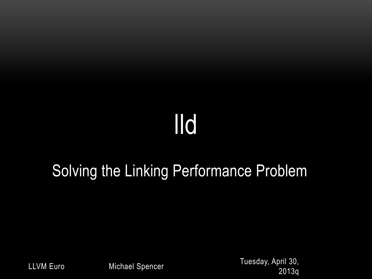# lld

#### Solving the Linking Performance Problem

Tuesday, April 30, 2013q LLVM Euro Michael Spencer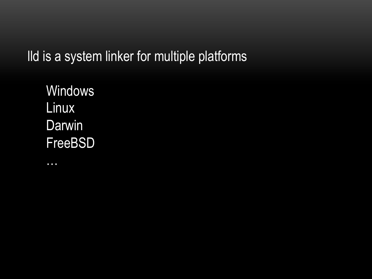lld is a system linker for multiple platforms

**Windows** Linux **Darwin** FreeBSD

…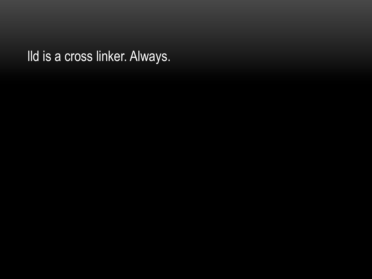lld is a cross linker. Always.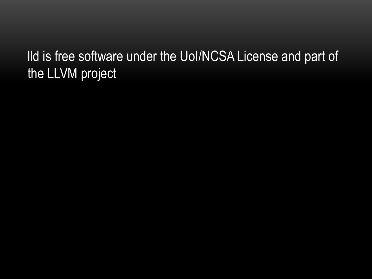#### lld is free software under the UoI/NCSA License and part of the LLVM project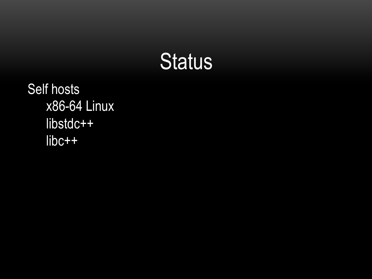

Self hosts x86-64 Linux libstdc++ libc++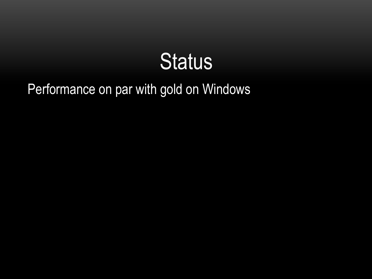

#### Performance on par with gold on Windows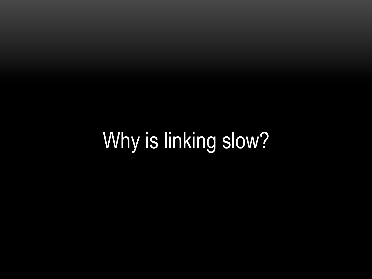# Why is linking slow?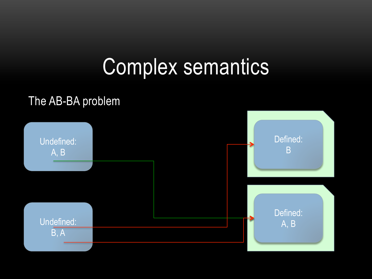### Complex semantics

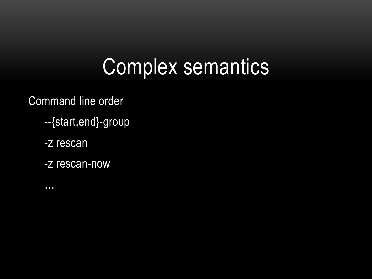### Complex semantics

Command line order

- --{start,end}-group
- -z rescan
- -z rescan-now
- …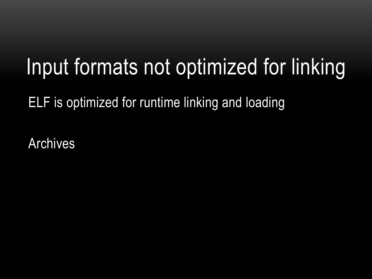# Input formats not optimized for linking

ELF is optimized for runtime linking and loading

Archives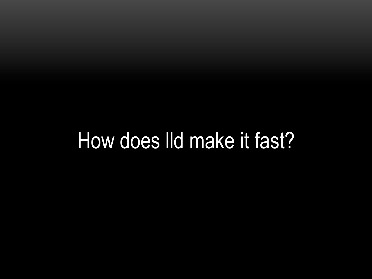### How does lld make it fast?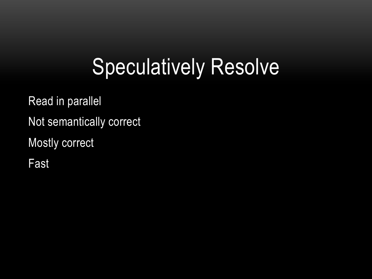# Speculatively Resolve

Read in parallel Not semantically correct Mostly correct

Fast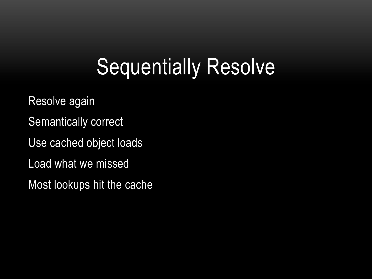# Sequentially Resolve

- Resolve again
- Semantically correct
- Use cached object loads
- Load what we missed
- Most lookups hit the cache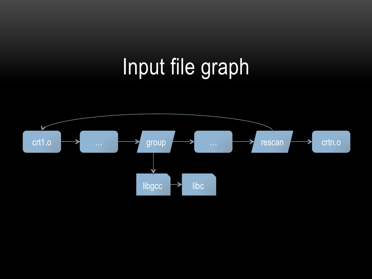# Input file graph

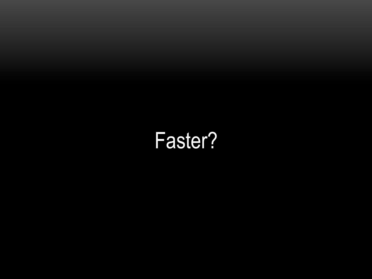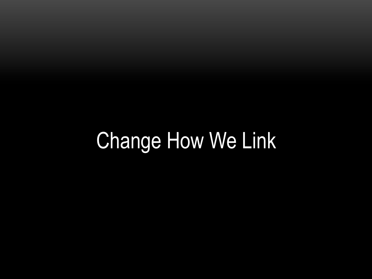# Change How We Link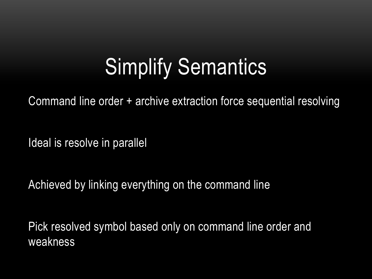# Simplify Semantics

Command line order + archive extraction force sequential resolving

Ideal is resolve in parallel

Achieved by linking everything on the command line

Pick resolved symbol based only on command line order and weakness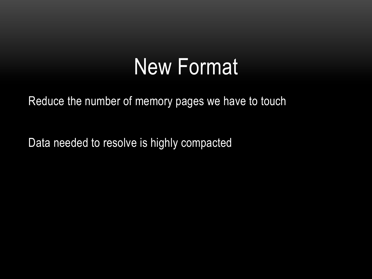#### New Format

Reduce the number of memory pages we have to touch

Data needed to resolve is highly compacted